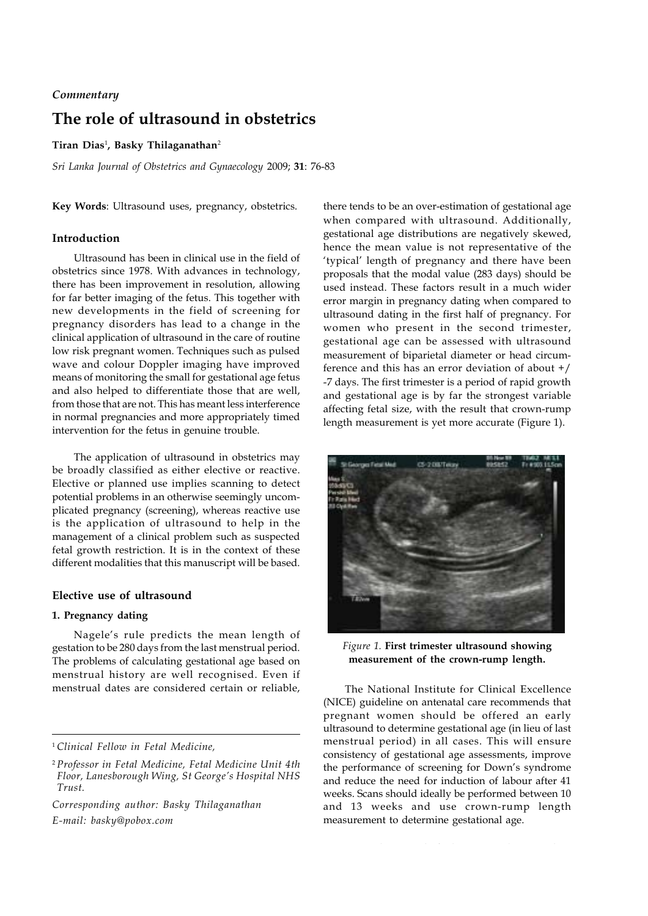# *Commentary*

# **The role of ultrasound in obstetrics**

### **Tiran Dias**<sup>1</sup> **, Basky Thilaganathan**<sup>2</sup>

*Sri Lanka Journal of Obstetrics and Gynaecology* 2009; **31**: 76-83

**Key Words**: Ultrasound uses, pregnancy, obstetrics.

# **Introduction**

Ultrasound has been in clinical use in the field of obstetrics since 1978. With advances in technology, there has been improvement in resolution, allowing for far better imaging of the fetus. This together with new developments in the field of screening for pregnancy disorders has lead to a change in the clinical application of ultrasound in the care of routine low risk pregnant women. Techniques such as pulsed wave and colour Doppler imaging have improved means of monitoring the small for gestational age fetus and also helped to differentiate those that are well, from those that are not. This has meant less interference in normal pregnancies and more appropriately timed intervention for the fetus in genuine trouble.

The application of ultrasound in obstetrics may be broadly classified as either elective or reactive. Elective or planned use implies scanning to detect potential problems in an otherwise seemingly uncomplicated pregnancy (screening), whereas reactive use is the application of ultrasound to help in the management of a clinical problem such as suspected fetal growth restriction. It is in the context of these different modalities that this manuscript will be based.

## **Elective use of ultrasound**

# **1. Pregnancy dating**

Nagele's rule predicts the mean length of gestation to be 280 days from the last menstrual period. The problems of calculating gestational age based on menstrual history are well recognised. Even if menstrual dates are considered certain or reliable,

<sup>1</sup>*Clinical Fellow in Fetal Medicine,*

*Corresponding author: Basky Thilaganathan E-mail: basky@pobox.com*

there tends to be an over-estimation of gestational age when compared with ultrasound. Additionally, gestational age distributions are negatively skewed, hence the mean value is not representative of the 'typical' length of pregnancy and there have been proposals that the modal value (283 days) should be used instead. These factors result in a much wider error margin in pregnancy dating when compared to ultrasound dating in the first half of pregnancy. For women who present in the second trimester, gestational age can be assessed with ultrasound measurement of biparietal diameter or head circumference and this has an error deviation of about +/ -7 days. The first trimester is a period of rapid growth and gestational age is by far the strongest variable affecting fetal size, with the result that crown-rump length measurement is yet more accurate (Figure 1).



*Figure 1.* **First trimester ultrasound showing measurement of the crown-rump length.**

The National Institute for Clinical Excellence (NICE) guideline on antenatal care recommends that pregnant women should be offered an early ultrasound to determine gestational age (in lieu of last menstrual period) in all cases. This will ensure consistency of gestational age assessments, improve the performance of screening for Down's syndrome and reduce the need for induction of labour after 41 weeks. Scans should ideally be performed between 10 and 13 weeks and use crown-rump length measurement to determine gestational age.

<sup>2</sup> *Professor in Fetal Medicine, Fetal Medicine Unit 4th Floor, Lanesborough Wing, St George's Hospital NHS Trust.*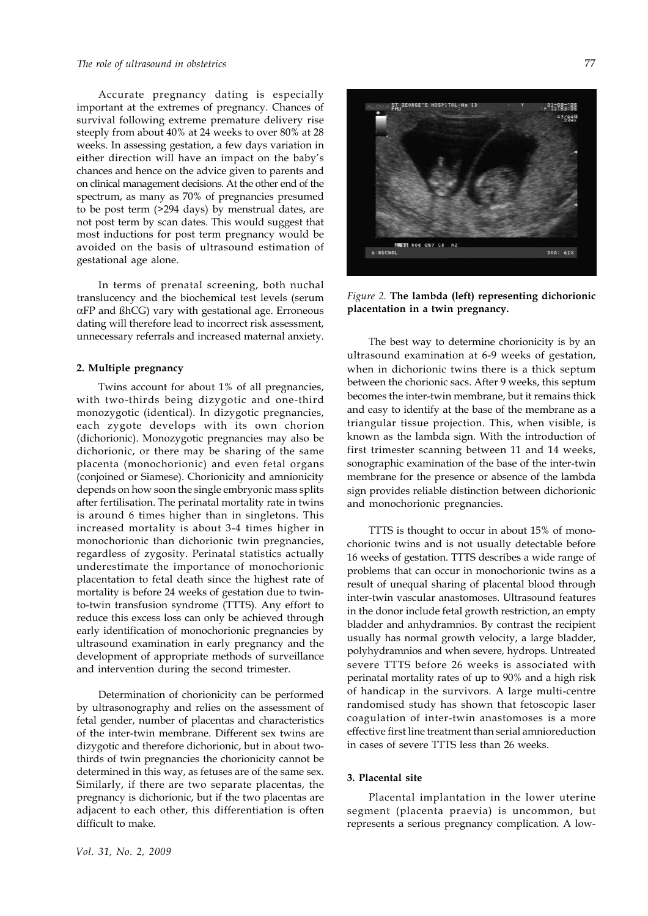### *The role of ultrasound in obstetrics*

Accurate pregnancy dating is especially important at the extremes of pregnancy. Chances of survival following extreme premature delivery rise steeply from about 40% at 24 weeks to over 80% at 28 weeks. In assessing gestation, a few days variation in either direction will have an impact on the baby's chances and hence on the advice given to parents and on clinical management decisions. At the other end of the spectrum, as many as 70% of pregnancies presumed to be post term (>294 days) by menstrual dates, are not post term by scan dates. This would suggest that most inductions for post term pregnancy would be avoided on the basis of ultrasound estimation of gestational age alone.

In terms of prenatal screening, both nuchal translucency and the biochemical test levels (serum  $\alpha$ FP and  $\beta$ hCG) vary with gestational age. Erroneous dating will therefore lead to incorrect risk assessment, unnecessary referrals and increased maternal anxiety.

### **2. Multiple pregnancy**

Twins account for about 1% of all pregnancies, with two-thirds being dizygotic and one-third monozygotic (identical). In dizygotic pregnancies, each zygote develops with its own chorion (dichorionic). Monozygotic pregnancies may also be dichorionic, or there may be sharing of the same placenta (monochorionic) and even fetal organs (conjoined or Siamese). Chorionicity and amnionicity depends on how soon the single embryonic mass splits after fertilisation. The perinatal mortality rate in twins is around 6 times higher than in singletons. This increased mortality is about 3-4 times higher in monochorionic than dichorionic twin pregnancies, regardless of zygosity. Perinatal statistics actually underestimate the importance of monochorionic placentation to fetal death since the highest rate of mortality is before 24 weeks of gestation due to twinto-twin transfusion syndrome (TTTS). Any effort to reduce this excess loss can only be achieved through early identification of monochorionic pregnancies by ultrasound examination in early pregnancy and the development of appropriate methods of surveillance and intervention during the second trimester.

Determination of chorionicity can be performed by ultrasonography and relies on the assessment of fetal gender, number of placentas and characteristics of the inter-twin membrane. Different sex twins are dizygotic and therefore dichorionic, but in about twothirds of twin pregnancies the chorionicity cannot be determined in this way, as fetuses are of the same sex. Similarly, if there are two separate placentas, the pregnancy is dichorionic, but if the two placentas are adjacent to each other, this differentiation is often difficult to make.



*Figure 2.* **The lambda (left) representing dichorionic placentation in a twin pregnancy.**

The best way to determine chorionicity is by an ultrasound examination at 6-9 weeks of gestation, when in dichorionic twins there is a thick septum between the chorionic sacs. After 9 weeks, this septum becomes the inter-twin membrane, but it remains thick and easy to identify at the base of the membrane as a triangular tissue projection. This, when visible, is known as the lambda sign. With the introduction of first trimester scanning between 11 and 14 weeks, sonographic examination of the base of the inter-twin membrane for the presence or absence of the lambda sign provides reliable distinction between dichorionic and monochorionic pregnancies.

TTTS is thought to occur in about 15% of monochorionic twins and is not usually detectable before 16 weeks of gestation. TTTS describes a wide range of problems that can occur in monochorionic twins as a result of unequal sharing of placental blood through inter-twin vascular anastomoses. Ultrasound features in the donor include fetal growth restriction, an empty bladder and anhydramnios. By contrast the recipient usually has normal growth velocity, a large bladder, polyhydramnios and when severe, hydrops. Untreated severe TTTS before 26 weeks is associated with perinatal mortality rates of up to 90% and a high risk of handicap in the survivors. A large multi-centre randomised study has shown that fetoscopic laser coagulation of inter-twin anastomoses is a more effective first line treatment than serial amnioreduction in cases of severe TTTS less than 26 weeks.

# **3. Placental site**

Placental implantation in the lower uterine segment (placenta praevia) is uncommon, but represents a serious pregnancy complication. A low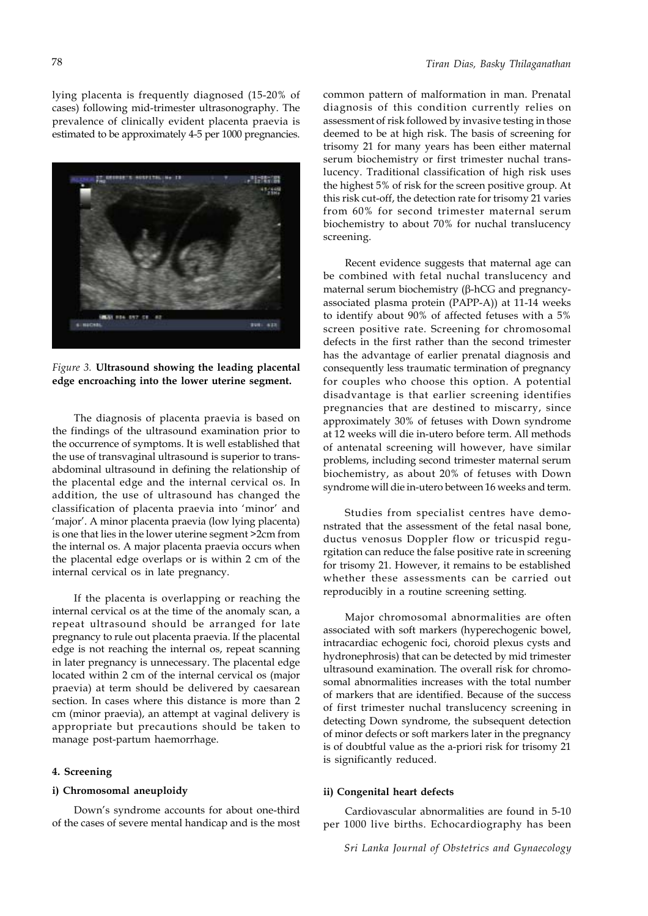lying placenta is frequently diagnosed (15-20% of cases) following mid-trimester ultrasonography. The prevalence of clinically evident placenta praevia is estimated to be approximately 4-5 per 1000 pregnancies.



*Figure 3.* **Ultrasound showing the leading placental edge encroaching into the lower uterine segment.**

The diagnosis of placenta praevia is based on the findings of the ultrasound examination prior to the occurrence of symptoms. It is well established that the use of transvaginal ultrasound is superior to transabdominal ultrasound in defining the relationship of the placental edge and the internal cervical os. In addition, the use of ultrasound has changed the classification of placenta praevia into 'minor' and 'major'. A minor placenta praevia (low lying placenta) is one that lies in the lower uterine segment >2cm from the internal os. A major placenta praevia occurs when the placental edge overlaps or is within 2 cm of the internal cervical os in late pregnancy.

If the placenta is overlapping or reaching the internal cervical os at the time of the anomaly scan, a repeat ultrasound should be arranged for late pregnancy to rule out placenta praevia. If the placental edge is not reaching the internal os, repeat scanning in later pregnancy is unnecessary. The placental edge located within 2 cm of the internal cervical os (major praevia) at term should be delivered by caesarean section. In cases where this distance is more than 2 cm (minor praevia), an attempt at vaginal delivery is appropriate but precautions should be taken to manage post-partum haemorrhage.

#### **4. Screening**

# **i) Chromosomal aneuploidy**

Down's syndrome accounts for about one-third of the cases of severe mental handicap and is the most common pattern of malformation in man. Prenatal diagnosis of this condition currently relies on assessment of risk followed by invasive testing in those deemed to be at high risk. The basis of screening for trisomy 21 for many years has been either maternal serum biochemistry or first trimester nuchal translucency. Traditional classification of high risk uses the highest 5% of risk for the screen positive group. At this risk cut-off, the detection rate for trisomy 21 varies from 60% for second trimester maternal serum biochemistry to about 70% for nuchal translucency screening.

Recent evidence suggests that maternal age can be combined with fetal nuchal translucency and maternal serum biochemistry  $(\beta$ -hCG and pregnancyassociated plasma protein (PAPP-A)) at 11-14 weeks to identify about 90% of affected fetuses with a 5% screen positive rate. Screening for chromosomal defects in the first rather than the second trimester has the advantage of earlier prenatal diagnosis and consequently less traumatic termination of pregnancy for couples who choose this option. A potential disadvantage is that earlier screening identifies pregnancies that are destined to miscarry, since approximately 30% of fetuses with Down syndrome at 12 weeks will die in-utero before term. All methods of antenatal screening will however, have similar problems, including second trimester maternal serum biochemistry, as about 20% of fetuses with Down syndrome will die in-utero between 16 weeks and term.

Studies from specialist centres have demonstrated that the assessment of the fetal nasal bone, ductus venosus Doppler flow or tricuspid regurgitation can reduce the false positive rate in screening for trisomy 21. However, it remains to be established whether these assessments can be carried out reproducibly in a routine screening setting.

Major chromosomal abnormalities are often associated with soft markers (hyperechogenic bowel, intracardiac echogenic foci, choroid plexus cysts and hydronephrosis) that can be detected by mid trimester ultrasound examination. The overall risk for chromosomal abnormalities increases with the total number of markers that are identified. Because of the success of first trimester nuchal translucency screening in detecting Down syndrome, the subsequent detection of minor defects or soft markers later in the pregnancy is of doubtful value as the a-priori risk for trisomy 21 is significantly reduced.

### **ii) Congenital heart defects**

Cardiovascular abnormalities are found in 5-10 per 1000 live births. Echocardiography has been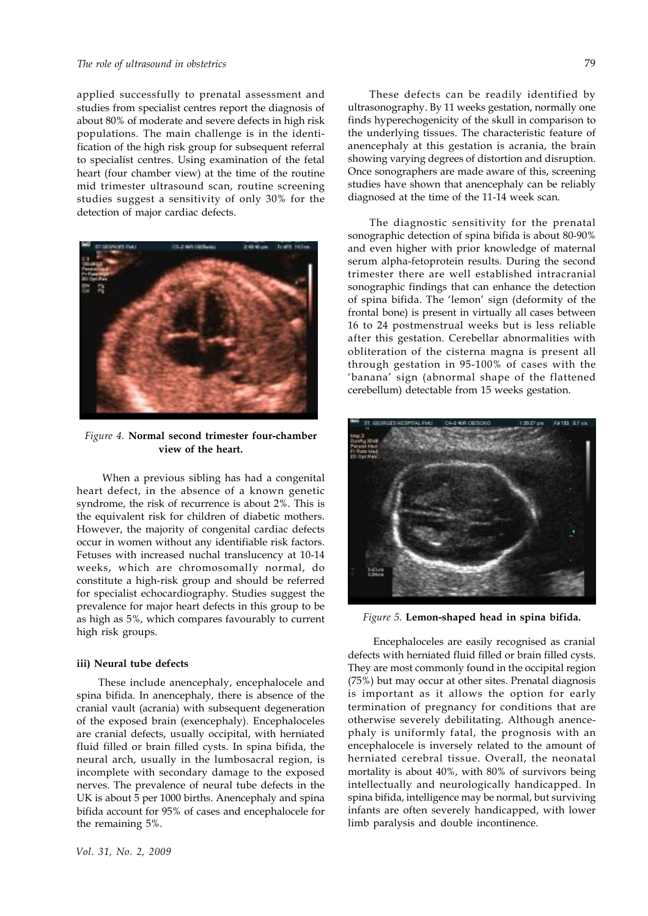#### *The role of ultrasound in obstetrics*

applied successfully to prenatal assessment and studies from specialist centres report the diagnosis of about 80% of moderate and severe defects in high risk populations. The main challenge is in the identification of the high risk group for subsequent referral to specialist centres. Using examination of the fetal heart (four chamber view) at the time of the routine mid trimester ultrasound scan, routine screening studies suggest a sensitivity of only 30% for the detection of major cardiac defects.



*Figure 4.* **Normal second trimester four-chamber view of the heart.**

 When a previous sibling has had a congenital heart defect, in the absence of a known genetic syndrome, the risk of recurrence is about 2%. This is the equivalent risk for children of diabetic mothers. However, the majority of congenital cardiac defects occur in women without any identifiable risk factors. Fetuses with increased nuchal translucency at 10-14 weeks, which are chromosomally normal, do constitute a high-risk group and should be referred for specialist echocardiography. Studies suggest the prevalence for major heart defects in this group to be as high as 5%, which compares favourably to current high risk groups.

#### **iii) Neural tube defects**

These include anencephaly, encephalocele and spina bifida. In anencephaly, there is absence of the cranial vault (acrania) with subsequent degeneration of the exposed brain (exencephaly). Encephaloceles are cranial defects, usually occipital, with herniated fluid filled or brain filled cysts. In spina bifida, the neural arch, usually in the lumbosacral region, is incomplete with secondary damage to the exposed nerves. The prevalence of neural tube defects in the UK is about 5 per 1000 births. Anencephaly and spina bifida account for 95% of cases and encephalocele for the remaining 5%.

*Vol. 31, No. 2, 2009*

These defects can be readily identified by ultrasonography. By 11 weeks gestation, normally one finds hyperechogenicity of the skull in comparison to the underlying tissues. The characteristic feature of anencephaly at this gestation is acrania, the brain showing varying degrees of distortion and disruption. Once sonographers are made aware of this, screening studies have shown that anencephaly can be reliably diagnosed at the time of the 11-14 week scan.

The diagnostic sensitivity for the prenatal sonographic detection of spina bifida is about 80-90% and even higher with prior knowledge of maternal serum alpha-fetoprotein results. During the second trimester there are well established intracranial sonographic findings that can enhance the detection of spina bifida. The 'lemon' sign (deformity of the frontal bone) is present in virtually all cases between 16 to 24 postmenstrual weeks but is less reliable after this gestation. Cerebellar abnormalities with obliteration of the cisterna magna is present all through gestation in 95-100% of cases with the 'banana' sign (abnormal shape of the flattened cerebellum) detectable from 15 weeks gestation.



*Figure 5.* **Lemon-shaped head in spina bifida.**

 Encephaloceles are easily recognised as cranial defects with herniated fluid filled or brain filled cysts. They are most commonly found in the occipital region (75%) but may occur at other sites. Prenatal diagnosis is important as it allows the option for early termination of pregnancy for conditions that are otherwise severely debilitating. Although anencephaly is uniformly fatal, the prognosis with an encephalocele is inversely related to the amount of herniated cerebral tissue. Overall, the neonatal mortality is about 40%, with 80% of survivors being intellectually and neurologically handicapped. In spina bifida, intelligence may be normal, but surviving infants are often severely handicapped, with lower limb paralysis and double incontinence.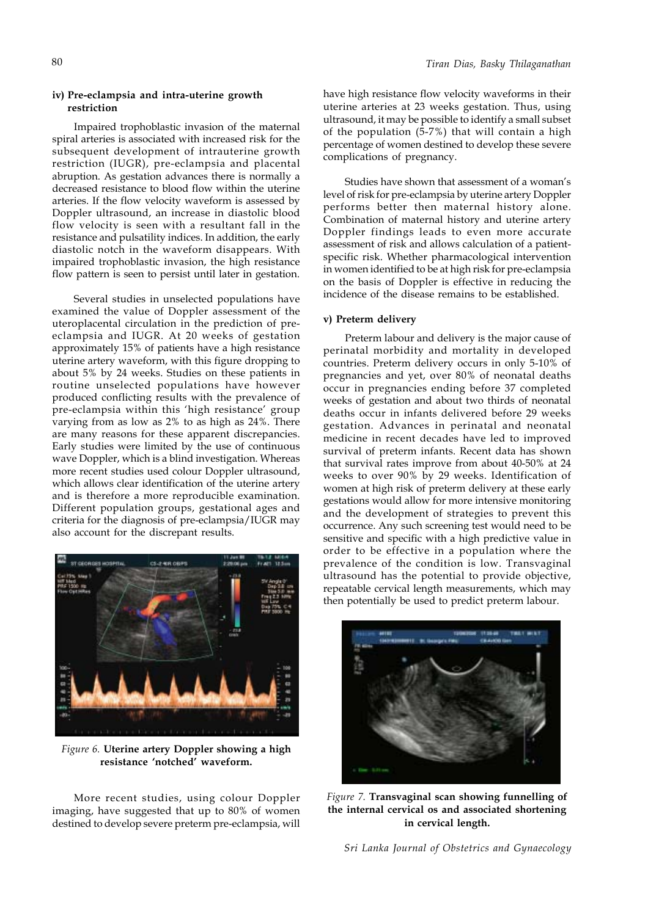# **iv) Pre-eclampsia and intra-uterine growth restriction**

Impaired trophoblastic invasion of the maternal spiral arteries is associated with increased risk for the subsequent development of intrauterine growth restriction (IUGR), pre-eclampsia and placental abruption. As gestation advances there is normally a decreased resistance to blood flow within the uterine arteries. If the flow velocity waveform is assessed by Doppler ultrasound, an increase in diastolic blood flow velocity is seen with a resultant fall in the resistance and pulsatility indices. In addition, the early diastolic notch in the waveform disappears. With impaired trophoblastic invasion, the high resistance flow pattern is seen to persist until later in gestation.

Several studies in unselected populations have examined the value of Doppler assessment of the uteroplacental circulation in the prediction of preeclampsia and IUGR. At 20 weeks of gestation approximately 15% of patients have a high resistance uterine artery waveform, with this figure dropping to about 5% by 24 weeks. Studies on these patients in routine unselected populations have however produced conflicting results with the prevalence of pre-eclampsia within this 'high resistance' group varying from as low as 2% to as high as 24%. There are many reasons for these apparent discrepancies. Early studies were limited by the use of continuous wave Doppler, which is a blind investigation. Whereas more recent studies used colour Doppler ultrasound, which allows clear identification of the uterine artery and is therefore a more reproducible examination. Different population groups, gestational ages and criteria for the diagnosis of pre-eclampsia/IUGR may also account for the discrepant results.



*Figure 6.* **Uterine artery Doppler showing a high resistance 'notched' waveform.**

More recent studies, using colour Doppler imaging, have suggested that up to 80% of women destined to develop severe preterm pre-eclampsia, will

have high resistance flow velocity waveforms in their uterine arteries at 23 weeks gestation. Thus, using ultrasound, it may be possible to identify a small subset of the population (5-7%) that will contain a high percentage of women destined to develop these severe complications of pregnancy.

Studies have shown that assessment of a woman's level of risk for pre-eclampsia by uterine artery Doppler performs better then maternal history alone. Combination of maternal history and uterine artery Doppler findings leads to even more accurate assessment of risk and allows calculation of a patientspecific risk. Whether pharmacological intervention in women identified to be at high risk for pre-eclampsia on the basis of Doppler is effective in reducing the incidence of the disease remains to be established.

#### **v) Preterm delivery**

Preterm labour and delivery is the major cause of perinatal morbidity and mortality in developed countries. Preterm delivery occurs in only 5-10% of pregnancies and yet, over 80% of neonatal deaths occur in pregnancies ending before 37 completed weeks of gestation and about two thirds of neonatal deaths occur in infants delivered before 29 weeks gestation. Advances in perinatal and neonatal medicine in recent decades have led to improved survival of preterm infants. Recent data has shown that survival rates improve from about 40-50% at 24 weeks to over 90% by 29 weeks. Identification of women at high risk of preterm delivery at these early gestations would allow for more intensive monitoring and the development of strategies to prevent this occurrence. Any such screening test would need to be sensitive and specific with a high predictive value in order to be effective in a population where the prevalence of the condition is low. Transvaginal ultrasound has the potential to provide objective, repeatable cervical length measurements, which may then potentially be used to predict preterm labour.



*Figure 7.* **Transvaginal scan showing funnelling of the internal cervical os and associated shortening in cervical length.**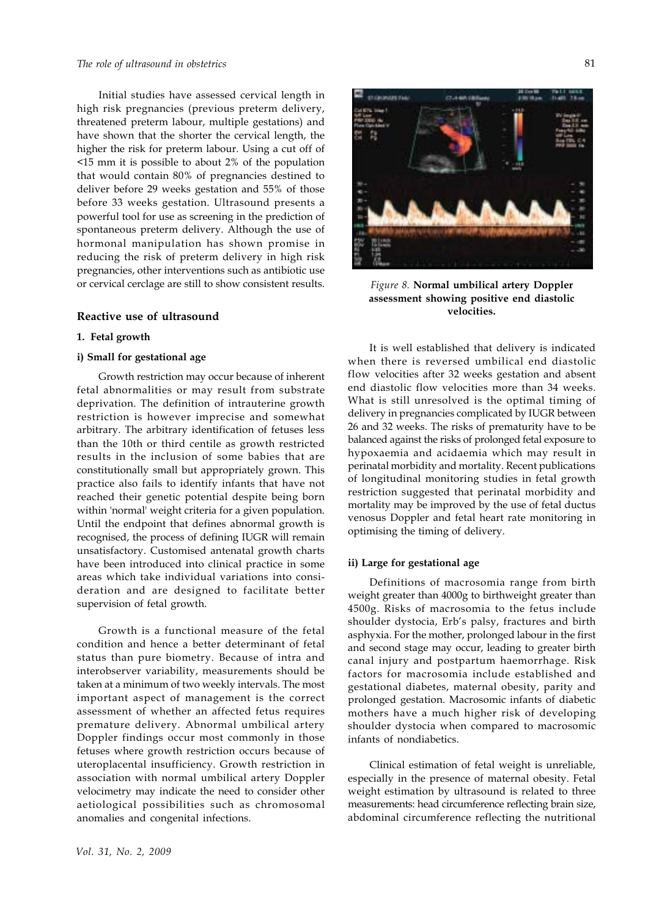### *The role of ultrasound in obstetrics*

Initial studies have assessed cervical length in high risk pregnancies (previous preterm delivery, threatened preterm labour, multiple gestations) and have shown that the shorter the cervical length, the higher the risk for preterm labour. Using a cut off of <15 mm it is possible to about 2% of the population that would contain 80% of pregnancies destined to deliver before 29 weeks gestation and 55% of those before 33 weeks gestation. Ultrasound presents a powerful tool for use as screening in the prediction of spontaneous preterm delivery. Although the use of hormonal manipulation has shown promise in reducing the risk of preterm delivery in high risk pregnancies, other interventions such as antibiotic use or cervical cerclage are still to show consistent results.

# **Reactive use of ultrasound**

#### **1. Fetal growth**

### **i) Small for gestational age**

Growth restriction may occur because of inherent fetal abnormalities or may result from substrate deprivation. The definition of intrauterine growth restriction is however imprecise and somewhat arbitrary. The arbitrary identification of fetuses less than the 10th or third centile as growth restricted results in the inclusion of some babies that are constitutionally small but appropriately grown. This practice also fails to identify infants that have not reached their genetic potential despite being born within 'normal' weight criteria for a given population. Until the endpoint that defines abnormal growth is recognised, the process of defining IUGR will remain unsatisfactory. Customised antenatal growth charts have been introduced into clinical practice in some areas which take individual variations into consideration and are designed to facilitate better supervision of fetal growth.

Growth is a functional measure of the fetal condition and hence a better determinant of fetal status than pure biometry. Because of intra and interobserver variability, measurements should be taken at a minimum of two weekly intervals. The most important aspect of management is the correct assessment of whether an affected fetus requires premature delivery. Abnormal umbilical artery Doppler findings occur most commonly in those fetuses where growth restriction occurs because of uteroplacental insufficiency. Growth restriction in association with normal umbilical artery Doppler velocimetry may indicate the need to consider other aetiological possibilities such as chromosomal anomalies and congenital infections.



*Figure 8.* **Normal umbilical artery Doppler assessment showing positive end diastolic velocities.**

It is well established that delivery is indicated when there is reversed umbilical end diastolic flow velocities after 32 weeks gestation and absent end diastolic flow velocities more than 34 weeks. What is still unresolved is the optimal timing of delivery in pregnancies complicated by IUGR between 26 and 32 weeks. The risks of prematurity have to be balanced against the risks of prolonged fetal exposure to hypoxaemia and acidaemia which may result in perinatal morbidity and mortality. Recent publications of longitudinal monitoring studies in fetal growth restriction suggested that perinatal morbidity and mortality may be improved by the use of fetal ductus venosus Doppler and fetal heart rate monitoring in optimising the timing of delivery.

### **ii) Large for gestational age**

Definitions of macrosomia range from birth weight greater than 4000g to birthweight greater than 4500g. Risks of macrosomia to the fetus include shoulder dystocia, Erb's palsy, fractures and birth asphyxia. For the mother, prolonged labour in the first and second stage may occur, leading to greater birth canal injury and postpartum haemorrhage. Risk factors for macrosomia include established and gestational diabetes, maternal obesity, parity and prolonged gestation. Macrosomic infants of diabetic mothers have a much higher risk of developing shoulder dystocia when compared to macrosomic infants of nondiabetics.

Clinical estimation of fetal weight is unreliable, especially in the presence of maternal obesity. Fetal weight estimation by ultrasound is related to three measurements: head circumference reflecting brain size, abdominal circumference reflecting the nutritional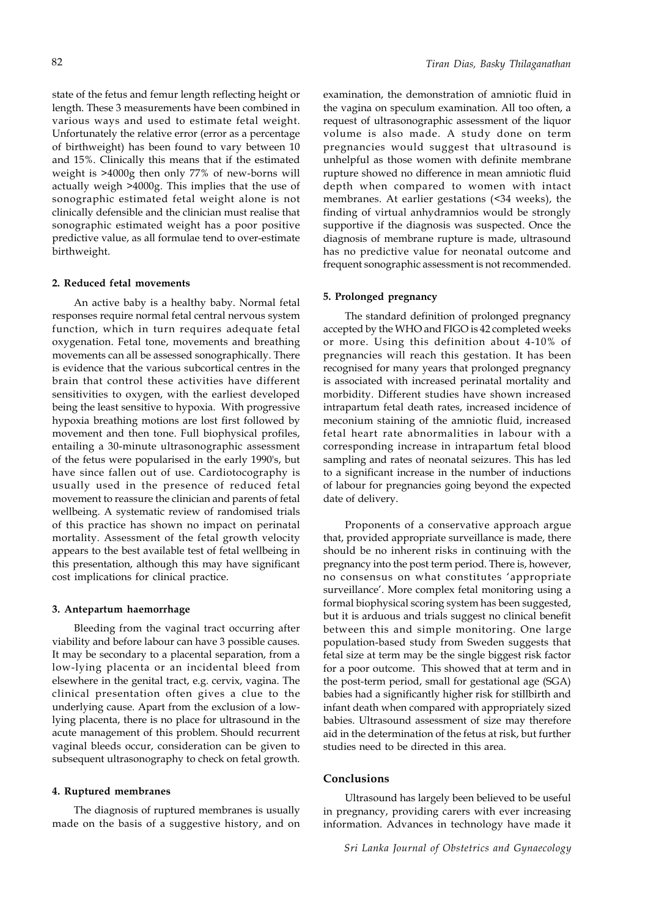state of the fetus and femur length reflecting height or length. These 3 measurements have been combined in various ways and used to estimate fetal weight. Unfortunately the relative error (error as a percentage of birthweight) has been found to vary between 10 and 15%. Clinically this means that if the estimated weight is >4000g then only 77% of new-borns will actually weigh >4000g. This implies that the use of sonographic estimated fetal weight alone is not clinically defensible and the clinician must realise that sonographic estimated weight has a poor positive predictive value, as all formulae tend to over-estimate birthweight.

#### **2. Reduced fetal movements**

An active baby is a healthy baby. Normal fetal responses require normal fetal central nervous system function, which in turn requires adequate fetal oxygenation. Fetal tone, movements and breathing movements can all be assessed sonographically. There is evidence that the various subcortical centres in the brain that control these activities have different sensitivities to oxygen, with the earliest developed being the least sensitive to hypoxia. With progressive hypoxia breathing motions are lost first followed by movement and then tone. Full biophysical profiles, entailing a 30-minute ultrasonographic assessment of the fetus were popularised in the early 1990's, but have since fallen out of use. Cardiotocography is usually used in the presence of reduced fetal movement to reassure the clinician and parents of fetal wellbeing. A systematic review of randomised trials of this practice has shown no impact on perinatal mortality. Assessment of the fetal growth velocity appears to the best available test of fetal wellbeing in this presentation, although this may have significant cost implications for clinical practice.

#### **3. Antepartum haemorrhage**

Bleeding from the vaginal tract occurring after viability and before labour can have 3 possible causes. It may be secondary to a placental separation, from a low-lying placenta or an incidental bleed from elsewhere in the genital tract, e.g. cervix, vagina. The clinical presentation often gives a clue to the underlying cause. Apart from the exclusion of a lowlying placenta, there is no place for ultrasound in the acute management of this problem. Should recurrent vaginal bleeds occur, consideration can be given to subsequent ultrasonography to check on fetal growth.

# **4. Ruptured membranes**

The diagnosis of ruptured membranes is usually made on the basis of a suggestive history, and on

examination, the demonstration of amniotic fluid in the vagina on speculum examination. All too often, a request of ultrasonographic assessment of the liquor volume is also made. A study done on term pregnancies would suggest that ultrasound is unhelpful as those women with definite membrane rupture showed no difference in mean amniotic fluid depth when compared to women with intact membranes. At earlier gestations (<34 weeks), the finding of virtual anhydramnios would be strongly supportive if the diagnosis was suspected. Once the diagnosis of membrane rupture is made, ultrasound has no predictive value for neonatal outcome and frequent sonographic assessment is not recommended.

### **5. Prolonged pregnancy**

The standard definition of prolonged pregnancy accepted by the WHO and FIGO is 42 completed weeks or more. Using this definition about 4-10% of pregnancies will reach this gestation. It has been recognised for many years that prolonged pregnancy is associated with increased perinatal mortality and morbidity. Different studies have shown increased intrapartum fetal death rates, increased incidence of meconium staining of the amniotic fluid, increased fetal heart rate abnormalities in labour with a corresponding increase in intrapartum fetal blood sampling and rates of neonatal seizures. This has led to a significant increase in the number of inductions of labour for pregnancies going beyond the expected date of delivery.

Proponents of a conservative approach argue that, provided appropriate surveillance is made, there should be no inherent risks in continuing with the pregnancy into the post term period. There is, however, no consensus on what constitutes 'appropriate surveillance'. More complex fetal monitoring using a formal biophysical scoring system has been suggested, but it is arduous and trials suggest no clinical benefit between this and simple monitoring. One large population-based study from Sweden suggests that fetal size at term may be the single biggest risk factor for a poor outcome. This showed that at term and in the post-term period, small for gestational age (SGA) babies had a significantly higher risk for stillbirth and infant death when compared with appropriately sized babies. Ultrasound assessment of size may therefore aid in the determination of the fetus at risk, but further studies need to be directed in this area.

# **Conclusions**

Ultrasound has largely been believed to be useful in pregnancy, providing carers with ever increasing information. Advances in technology have made it